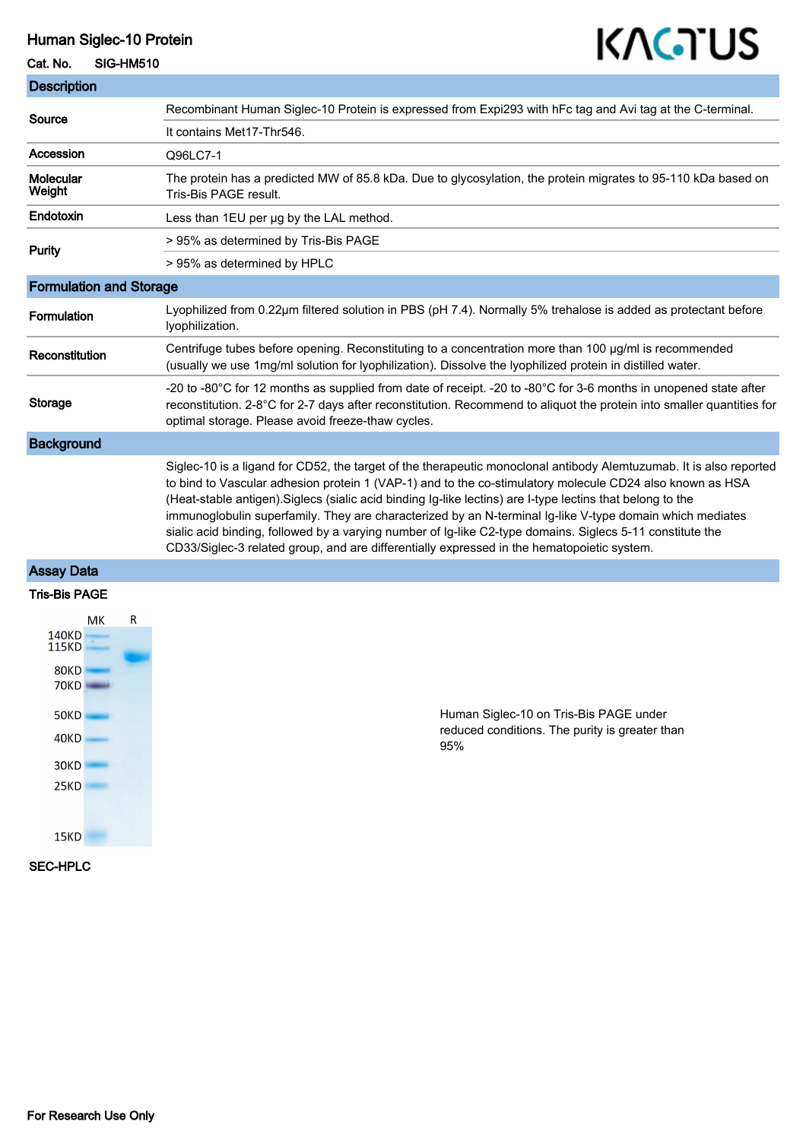## Human Siglec-10 Protein

#### Cat. No. SIG-HM510

Description

# KAGTUS

| <b>Description</b>             |                                                                                                                                                                                                                                                                                                                                                                                                                                                                                                                                                                                                                                                                     |
|--------------------------------|---------------------------------------------------------------------------------------------------------------------------------------------------------------------------------------------------------------------------------------------------------------------------------------------------------------------------------------------------------------------------------------------------------------------------------------------------------------------------------------------------------------------------------------------------------------------------------------------------------------------------------------------------------------------|
| Source                         | Recombinant Human Siglec-10 Protein is expressed from Expi293 with hFc tag and Avi tag at the C-terminal.                                                                                                                                                                                                                                                                                                                                                                                                                                                                                                                                                           |
|                                | It contains Met17-Thr546.                                                                                                                                                                                                                                                                                                                                                                                                                                                                                                                                                                                                                                           |
| Accession                      | Q96LC7-1                                                                                                                                                                                                                                                                                                                                                                                                                                                                                                                                                                                                                                                            |
| <b>Molecular</b><br>Weight     | The protein has a predicted MW of 85.8 kDa. Due to glycosylation, the protein migrates to 95-110 kDa based on<br>Tris-Bis PAGE result.                                                                                                                                                                                                                                                                                                                                                                                                                                                                                                                              |
| Endotoxin                      | Less than 1EU per ug by the LAL method.                                                                                                                                                                                                                                                                                                                                                                                                                                                                                                                                                                                                                             |
| Purity                         | > 95% as determined by Tris-Bis PAGE                                                                                                                                                                                                                                                                                                                                                                                                                                                                                                                                                                                                                                |
|                                | > 95% as determined by HPLC                                                                                                                                                                                                                                                                                                                                                                                                                                                                                                                                                                                                                                         |
| <b>Formulation and Storage</b> |                                                                                                                                                                                                                                                                                                                                                                                                                                                                                                                                                                                                                                                                     |
| <b>Formulation</b>             | Lyophilized from 0.22µm filtered solution in PBS (pH 7.4). Normally 5% trehalose is added as protectant before<br>Iyophilization.                                                                                                                                                                                                                                                                                                                                                                                                                                                                                                                                   |
| Reconstitution                 | Centrifuge tubes before opening. Reconstituting to a concentration more than 100 µg/ml is recommended<br>(usually we use 1mg/ml solution for lyophilization). Dissolve the lyophilized protein in distilled water.                                                                                                                                                                                                                                                                                                                                                                                                                                                  |
| Storage                        | -20 to -80°C for 12 months as supplied from date of receipt. -20 to -80°C for 3-6 months in unopened state after<br>reconstitution. 2-8°C for 2-7 days after reconstitution. Recommend to aliquot the protein into smaller quantities for<br>optimal storage. Please avoid freeze-thaw cycles.                                                                                                                                                                                                                                                                                                                                                                      |
| <b>Background</b>              |                                                                                                                                                                                                                                                                                                                                                                                                                                                                                                                                                                                                                                                                     |
|                                | Siglec-10 is a ligand for CD52, the target of the therapeutic monoclonal antibody Alemtuzumab. It is also reported<br>to bind to Vascular adhesion protein 1 (VAP-1) and to the co-stimulatory molecule CD24 also known as HSA<br>(Heat-stable antigen). Siglecs (sialic acid binding Ig-like lectins) are I-type lectins that belong to the<br>immunoglobulin superfamily. They are characterized by an N-terminal Ig-like V-type domain which mediates<br>sialic acid binding, followed by a varying number of Ig-like C2-type domains. Siglecs 5-11 constitute the<br>CD33/Siglec-3 related group, and are differentially expressed in the hematopoietic system. |

### Assay Data





Human Siglec-10 on Tris-Bis PAGE under reduced conditions. The purity is greater than 95%

#### SEC-HPLC